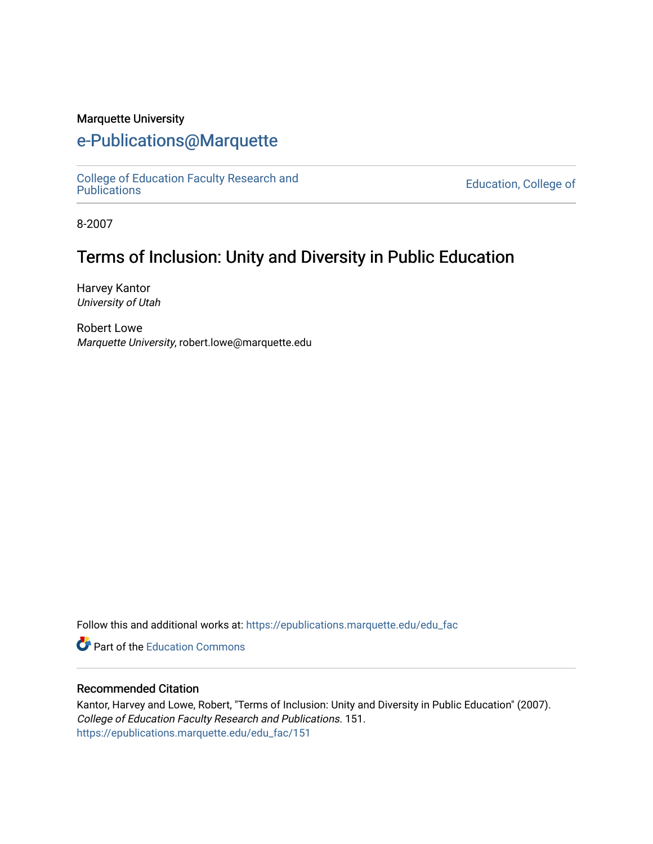#### Marquette University

### [e-Publications@Marquette](https://epublications.marquette.edu/)

College of Education Faculty Research and<br>Publications

Education, College of

8-2007

## Terms of Inclusion: Unity and Diversity in Public Education

Harvey Kantor University of Utah

Robert Lowe Marquette University, robert.lowe@marquette.edu

Follow this and additional works at: [https://epublications.marquette.edu/edu\\_fac](https://epublications.marquette.edu/edu_fac?utm_source=epublications.marquette.edu%2Fedu_fac%2F151&utm_medium=PDF&utm_campaign=PDFCoverPages) 

**Part of the [Education Commons](http://network.bepress.com/hgg/discipline/784?utm_source=epublications.marquette.edu%2Fedu_fac%2F151&utm_medium=PDF&utm_campaign=PDFCoverPages)** 

#### Recommended Citation

Kantor, Harvey and Lowe, Robert, "Terms of Inclusion: Unity and Diversity in Public Education" (2007). College of Education Faculty Research and Publications. 151. [https://epublications.marquette.edu/edu\\_fac/151](https://epublications.marquette.edu/edu_fac/151?utm_source=epublications.marquette.edu%2Fedu_fac%2F151&utm_medium=PDF&utm_campaign=PDFCoverPages)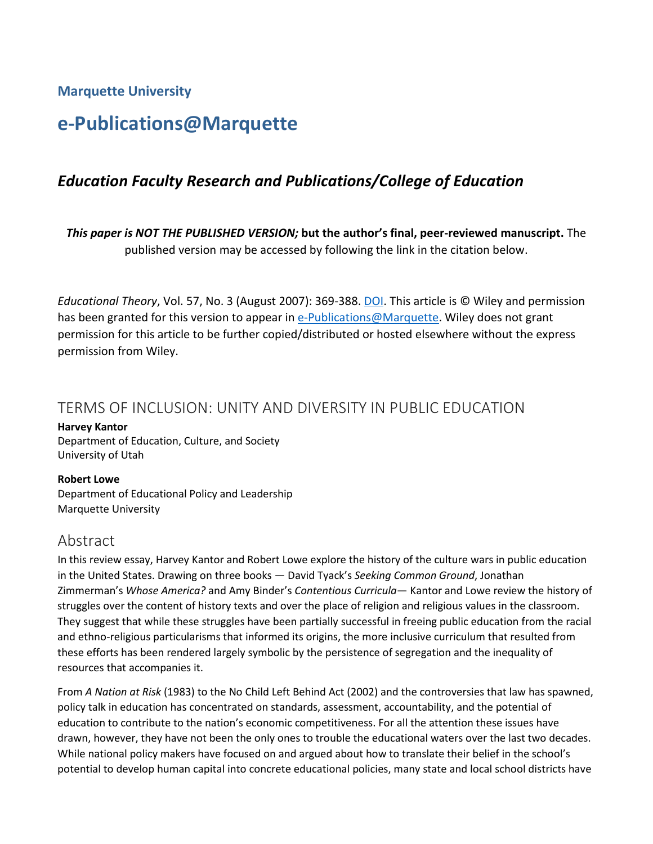**Marquette University**

# **e-Publications@Marquette**

### *Education Faculty Research and Publications/College of Education*

*This paper is NOT THE PUBLISHED VERSION;* **but the author's final, peer-reviewed manuscript.** The published version may be accessed by following the link in the citation below.

*Educational Theory*, Vol. 57, No. 3 (August 2007): 369-388. DOI. This article is © Wiley and permission has been granted for this version to appear in [e-Publications@Marquette.](http://epublications.marquette.edu/) Wiley does not grant permission for this article to be further copied/distributed or hosted elsewhere without the express permission from Wiley.

### TERMS OF INCLUSION: UNITY AND DIVERSITY IN PUBLIC EDUCATION

#### **Harvey Kantor**

Department of Education, Culture, and Society University of Utah

#### **Robert Lowe**

Department of Educational Policy and Leadership Marquette University

### Abstract

In this review essay, Harvey Kantor and Robert Lowe explore the history of the culture wars in public education in the United States. Drawing on three books — David Tyack's *Seeking Common Ground*, Jonathan Zimmerman's *Whose America?* and Amy Binder's *Contentious Curricula*— Kantor and Lowe review the history of struggles over the content of history texts and over the place of religion and religious values in the classroom. They suggest that while these struggles have been partially successful in freeing public education from the racial and ethno-religious particularisms that informed its origins, the more inclusive curriculum that resulted from these efforts has been rendered largely symbolic by the persistence of segregation and the inequality of resources that accompanies it.

From *A Nation at Risk* (1983) to the No Child Left Behind Act (2002) and the controversies that law has spawned, policy talk in education has concentrated on standards, assessment, accountability, and the potential of education to contribute to the nation's economic competitiveness. For all the attention these issues have drawn, however, they have not been the only ones to trouble the educational waters over the last two decades. While national policy makers have focused on and argued about how to translate their belief in the school's potential to develop human capital into concrete educational policies, many state and local school districts have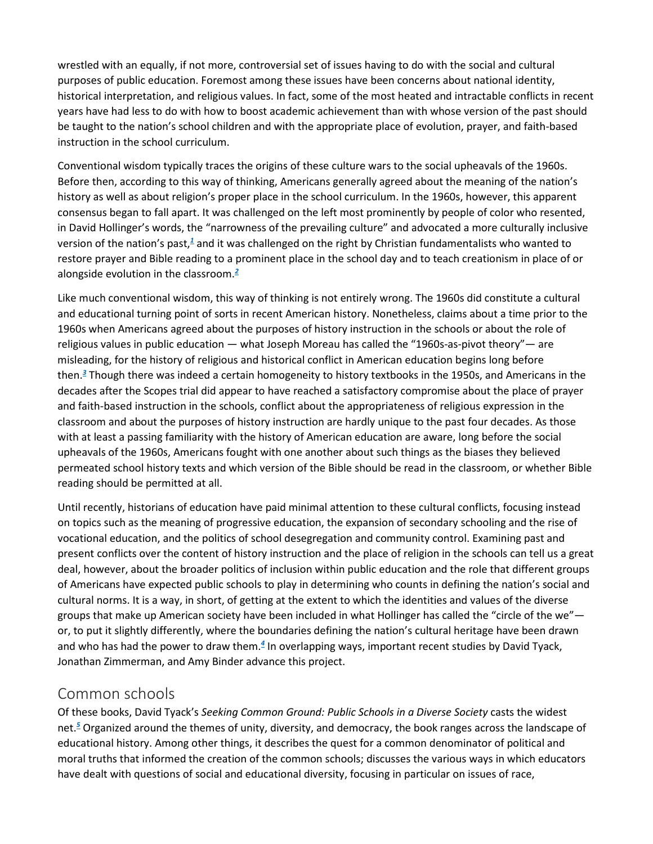wrestled with an equally, if not more, controversial set of issues having to do with the social and cultural purposes of public education. Foremost among these issues have been concerns about national identity, historical interpretation, and religious values. In fact, some of the most heated and intractable conflicts in recent years have had less to do with how to boost academic achievement than with whose version of the past should be taught to the nation's school children and with the appropriate place of evolution, prayer, and faith-based instruction in the school curriculum.

Conventional wisdom typically traces the origins of these culture wars to the social upheavals of the 1960s. Before then, according to this way of thinking, Americans generally agreed about the meaning of the nation's history as well as about religion's proper place in the school curriculum. In the 1960s, however, this apparent consensus began to fall apart. It was challenged on the left most prominently by people of color who resented, in David Hollinger's words, the "narrowness of the prevailing culture" and advocated a more culturally inclusive version of the nation's past[,](https://onlinelibrary.wiley.com/doi/full/10.1111/j.1741-5446.2007.00263.x#fn1_1)*<sup>1</sup>* and it was challenged on the right by Christian fundamentalists who wanted to restore prayer and Bible reading to a prominent place in the school day and to teach creationism in place of or alongside evolution in the classroom[.](https://onlinelibrary.wiley.com/doi/full/10.1111/j.1741-5446.2007.00263.x#fn2_2)*<sup>2</sup>*

Like much conventional wisdom, this way of thinking is not entirely wrong. The 1960s did constitute a cultural and educational turning point of sorts in recent American history. Nonetheless, claims about a time prior to the 1960s when Americans agreed about the purposes of history instruction in the schools or about the role of religious values in public education — what Joseph Moreau has called the "1960s-as-pivot theory"— are misleading, for the history of religious and historical conflict in American education begins long before then[.](https://onlinelibrary.wiley.com/doi/full/10.1111/j.1741-5446.2007.00263.x#fn3_3)*<sup>3</sup>* Though there was indeed a certain homogeneity to history textbooks in the 1950s, and Americans in the decades after the Scopes trial did appear to have reached a satisfactory compromise about the place of prayer and faith-based instruction in the schools, conflict about the appropriateness of religious expression in the classroom and about the purposes of history instruction are hardly unique to the past four decades. As those with at least a passing familiarity with the history of American education are aware, long before the social upheavals of the 1960s, Americans fought with one another about such things as the biases they believed permeated school history texts and which version of the Bible should be read in the classroom, or whether Bible reading should be permitted at all.

Until recently, historians of education have paid minimal attention to these cultural conflicts, focusing instead on topics such as the meaning of progressive education, the expansion of secondary schooling and the rise of vocational education, and the politics of school desegregation and community control. Examining past and present conflicts over the content of history instruction and the place of religion in the schools can tell us a great deal, however, about the broader politics of inclusion within public education and the role that different groups of Americans have expected public schools to play in determining who counts in defining the nation's social and cultural norms. It is a way, in short, of getting at the extent to which the identities and values of the diverse groups that make up American society have been included in what Hollinger has called the "circle of the we" or, to put it slightly differently, where the boundaries defining the nation's cultural heritage have been drawn and who has had the power to draw them.*[4](https://onlinelibrary.wiley.com/doi/full/10.1111/j.1741-5446.2007.00263.x#fn4_4)* In overlapping ways, important recent studies by David Tyack, Jonathan Zimmerman, and Amy Binder advance this project.

### Common schools

Of these books, David Tyack's *Seeking Common Ground: Public Schools in a Diverse Society* casts the widest net[.](https://onlinelibrary.wiley.com/doi/full/10.1111/j.1741-5446.2007.00263.x#fn5_5)*<sup>5</sup>* Organized around the themes of unity, diversity, and democracy, the book ranges across the landscape of educational history. Among other things, it describes the quest for a common denominator of political and moral truths that informed the creation of the common schools; discusses the various ways in which educators have dealt with questions of social and educational diversity, focusing in particular on issues of race,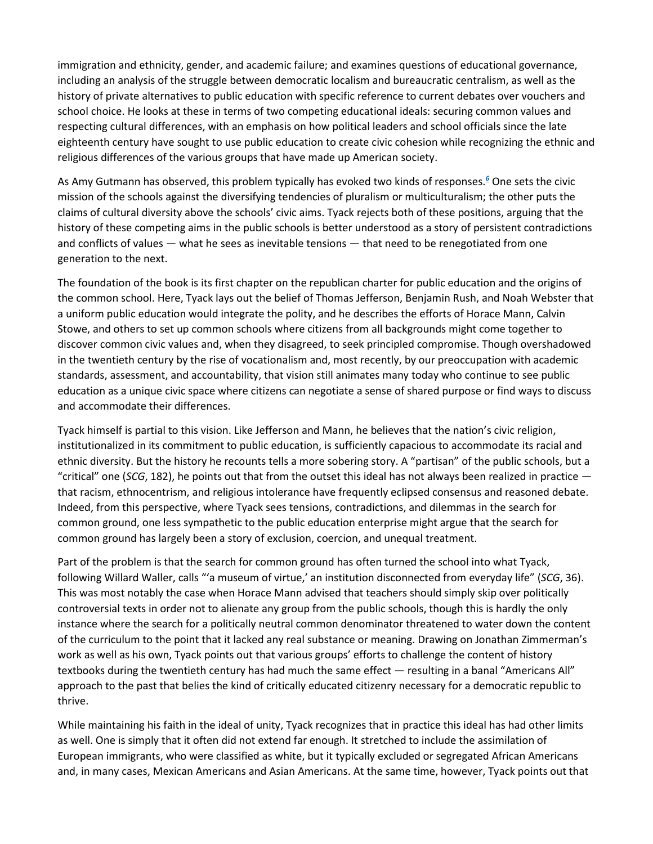immigration and ethnicity, gender, and academic failure; and examines questions of educational governance, including an analysis of the struggle between democratic localism and bureaucratic centralism, as well as the history of private alternatives to public education with specific reference to current debates over vouchers and school choice. He looks at these in terms of two competing educational ideals: securing common values and respecting cultural differences, with an emphasis on how political leaders and school officials since the late eighteenth century have sought to use public education to create civic cohesion while recognizing the ethnic and religious differences of the various groups that have made up American society.

As Amy Gutmann has observed, this problem typically has evoked two kinds of responses[.](https://onlinelibrary.wiley.com/doi/full/10.1111/j.1741-5446.2007.00263.x#fn6_6)*<sup>6</sup>* One sets the civic mission of the schools against the diversifying tendencies of pluralism or multiculturalism; the other puts the claims of cultural diversity above the schools' civic aims. Tyack rejects both of these positions, arguing that the history of these competing aims in the public schools is better understood as a story of persistent contradictions and conflicts of values — what he sees as inevitable tensions — that need to be renegotiated from one generation to the next.

The foundation of the book is its first chapter on the republican charter for public education and the origins of the common school. Here, Tyack lays out the belief of Thomas Jefferson, Benjamin Rush, and Noah Webster that a uniform public education would integrate the polity, and he describes the efforts of Horace Mann, Calvin Stowe, and others to set up common schools where citizens from all backgrounds might come together to discover common civic values and, when they disagreed, to seek principled compromise. Though overshadowed in the twentieth century by the rise of vocationalism and, most recently, by our preoccupation with academic standards, assessment, and accountability, that vision still animates many today who continue to see public education as a unique civic space where citizens can negotiate a sense of shared purpose or find ways to discuss and accommodate their differences.

Tyack himself is partial to this vision. Like Jefferson and Mann, he believes that the nation's civic religion, institutionalized in its commitment to public education, is sufficiently capacious to accommodate its racial and ethnic diversity. But the history he recounts tells a more sobering story. A "partisan" of the public schools, but a "critical" one (*SCG*, 182), he points out that from the outset this ideal has not always been realized in practice that racism, ethnocentrism, and religious intolerance have frequently eclipsed consensus and reasoned debate. Indeed, from this perspective, where Tyack sees tensions, contradictions, and dilemmas in the search for common ground, one less sympathetic to the public education enterprise might argue that the search for common ground has largely been a story of exclusion, coercion, and unequal treatment.

Part of the problem is that the search for common ground has often turned the school into what Tyack, following Willard Waller, calls "'a museum of virtue,' an institution disconnected from everyday life" (*SCG*, 36). This was most notably the case when Horace Mann advised that teachers should simply skip over politically controversial texts in order not to alienate any group from the public schools, though this is hardly the only instance where the search for a politically neutral common denominator threatened to water down the content of the curriculum to the point that it lacked any real substance or meaning. Drawing on Jonathan Zimmerman's work as well as his own, Tyack points out that various groups' efforts to challenge the content of history textbooks during the twentieth century has had much the same effect — resulting in a banal "Americans All" approach to the past that belies the kind of critically educated citizenry necessary for a democratic republic to thrive.

While maintaining his faith in the ideal of unity, Tyack recognizes that in practice this ideal has had other limits as well. One is simply that it often did not extend far enough. It stretched to include the assimilation of European immigrants, who were classified as white, but it typically excluded or segregated African Americans and, in many cases, Mexican Americans and Asian Americans. At the same time, however, Tyack points out that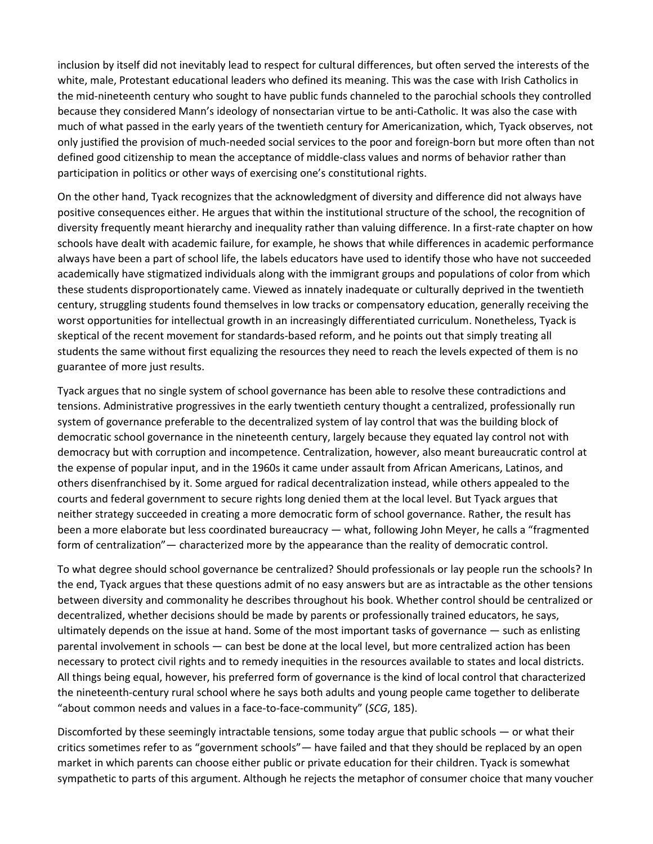inclusion by itself did not inevitably lead to respect for cultural differences, but often served the interests of the white, male, Protestant educational leaders who defined its meaning. This was the case with Irish Catholics in the mid-nineteenth century who sought to have public funds channeled to the parochial schools they controlled because they considered Mann's ideology of nonsectarian virtue to be anti-Catholic. It was also the case with much of what passed in the early years of the twentieth century for Americanization, which, Tyack observes, not only justified the provision of much-needed social services to the poor and foreign-born but more often than not defined good citizenship to mean the acceptance of middle-class values and norms of behavior rather than participation in politics or other ways of exercising one's constitutional rights.

On the other hand, Tyack recognizes that the acknowledgment of diversity and difference did not always have positive consequences either. He argues that within the institutional structure of the school, the recognition of diversity frequently meant hierarchy and inequality rather than valuing difference. In a first-rate chapter on how schools have dealt with academic failure, for example, he shows that while differences in academic performance always have been a part of school life, the labels educators have used to identify those who have not succeeded academically have stigmatized individuals along with the immigrant groups and populations of color from which these students disproportionately came. Viewed as innately inadequate or culturally deprived in the twentieth century, struggling students found themselves in low tracks or compensatory education, generally receiving the worst opportunities for intellectual growth in an increasingly differentiated curriculum. Nonetheless, Tyack is skeptical of the recent movement for standards-based reform, and he points out that simply treating all students the same without first equalizing the resources they need to reach the levels expected of them is no guarantee of more just results.

Tyack argues that no single system of school governance has been able to resolve these contradictions and tensions. Administrative progressives in the early twentieth century thought a centralized, professionally run system of governance preferable to the decentralized system of lay control that was the building block of democratic school governance in the nineteenth century, largely because they equated lay control not with democracy but with corruption and incompetence. Centralization, however, also meant bureaucratic control at the expense of popular input, and in the 1960s it came under assault from African Americans, Latinos, and others disenfranchised by it. Some argued for radical decentralization instead, while others appealed to the courts and federal government to secure rights long denied them at the local level. But Tyack argues that neither strategy succeeded in creating a more democratic form of school governance. Rather, the result has been a more elaborate but less coordinated bureaucracy — what, following John Meyer, he calls a "fragmented form of centralization"— characterized more by the appearance than the reality of democratic control.

To what degree should school governance be centralized? Should professionals or lay people run the schools? In the end, Tyack argues that these questions admit of no easy answers but are as intractable as the other tensions between diversity and commonality he describes throughout his book. Whether control should be centralized or decentralized, whether decisions should be made by parents or professionally trained educators, he says, ultimately depends on the issue at hand. Some of the most important tasks of governance — such as enlisting parental involvement in schools — can best be done at the local level, but more centralized action has been necessary to protect civil rights and to remedy inequities in the resources available to states and local districts. All things being equal, however, his preferred form of governance is the kind of local control that characterized the nineteenth-century rural school where he says both adults and young people came together to deliberate "about common needs and values in a face-to-face-community" (*SCG*, 185).

Discomforted by these seemingly intractable tensions, some today argue that public schools — or what their critics sometimes refer to as "government schools"— have failed and that they should be replaced by an open market in which parents can choose either public or private education for their children. Tyack is somewhat sympathetic to parts of this argument. Although he rejects the metaphor of consumer choice that many voucher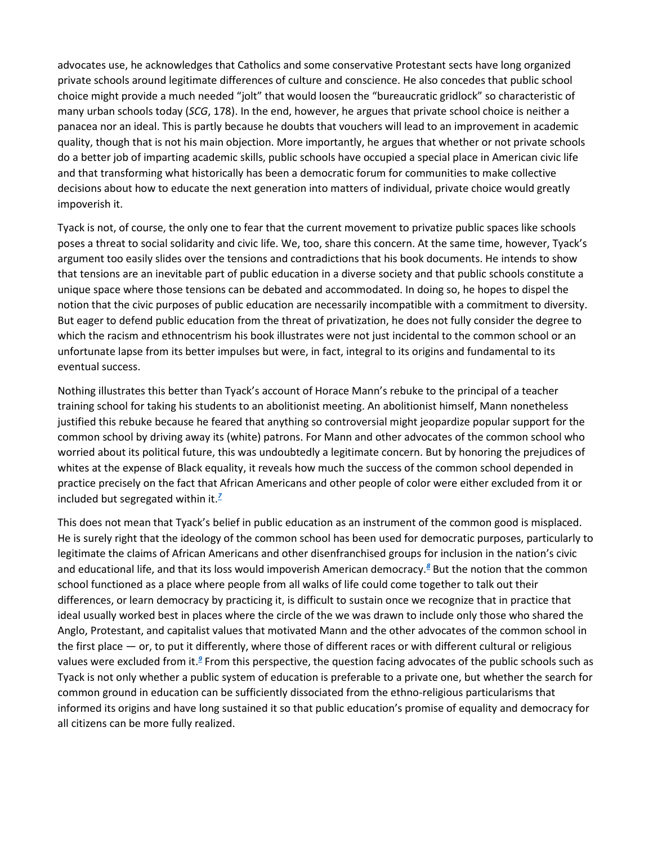advocates use, he acknowledges that Catholics and some conservative Protestant sects have long organized private schools around legitimate differences of culture and conscience. He also concedes that public school choice might provide a much needed "jolt" that would loosen the "bureaucratic gridlock" so characteristic of many urban schools today (*SCG*, 178). In the end, however, he argues that private school choice is neither a panacea nor an ideal. This is partly because he doubts that vouchers will lead to an improvement in academic quality, though that is not his main objection. More importantly, he argues that whether or not private schools do a better job of imparting academic skills, public schools have occupied a special place in American civic life and that transforming what historically has been a democratic forum for communities to make collective decisions about how to educate the next generation into matters of individual, private choice would greatly impoverish it.

Tyack is not, of course, the only one to fear that the current movement to privatize public spaces like schools poses a threat to social solidarity and civic life. We, too, share this concern. At the same time, however, Tyack's argument too easily slides over the tensions and contradictions that his book documents. He intends to show that tensions are an inevitable part of public education in a diverse society and that public schools constitute a unique space where those tensions can be debated and accommodated. In doing so, he hopes to dispel the notion that the civic purposes of public education are necessarily incompatible with a commitment to diversity. But eager to defend public education from the threat of privatization, he does not fully consider the degree to which the racism and ethnocentrism his book illustrates were not just incidental to the common school or an unfortunate lapse from its better impulses but were, in fact, integral to its origins and fundamental to its eventual success.

Nothing illustrates this better than Tyack's account of Horace Mann's rebuke to the principal of a teacher training school for taking his students to an abolitionist meeting. An abolitionist himself, Mann nonetheless justified this rebuke because he feared that anything so controversial might jeopardize popular support for the common school by driving away its (white) patrons. For Mann and other advocates of the common school who worried about its political future, this was undoubtedly a legitimate concern. But by honoring the prejudices of whites at the expense of Black equality, it reveals how much the success of the common school depended in practice precisely on the fact that African Americans and other people of color were either excluded from it or included but segregated within it[.](https://onlinelibrary.wiley.com/doi/full/10.1111/j.1741-5446.2007.00263.x#fn7_7)*<sup>7</sup>*

This does not mean that Tyack's belief in public education as an instrument of the common good is misplaced. He is surely right that the ideology of the common school has been used for democratic purposes, particularly to legitimate the claims of African Americans and other disenfranchised groups for inclusion in the nation's civic and educational life, and that its loss would impoverish American democrac[y.](https://onlinelibrary.wiley.com/doi/full/10.1111/j.1741-5446.2007.00263.x#fn8_8)*<sup>8</sup>* But the notion that the common school functioned as a place where people from all walks of life could come together to talk out their differences, or learn democracy by practicing it, is difficult to sustain once we recognize that in practice that ideal usually worked best in places where the circle of the we was drawn to include only those who shared the Anglo, Protestant, and capitalist values that motivated Mann and the other advocates of the common school in the first place — or, to put it differently, where those of different races or with different cultural or religious values were excluded from it.*[9](https://onlinelibrary.wiley.com/doi/full/10.1111/j.1741-5446.2007.00263.x#fn9_9)* From this perspective, the question facing advocates of the public schools such as Tyack is not only whether a public system of education is preferable to a private one, but whether the search for common ground in education can be sufficiently dissociated from the ethno-religious particularisms that informed its origins and have long sustained it so that public education's promise of equality and democracy for all citizens can be more fully realized.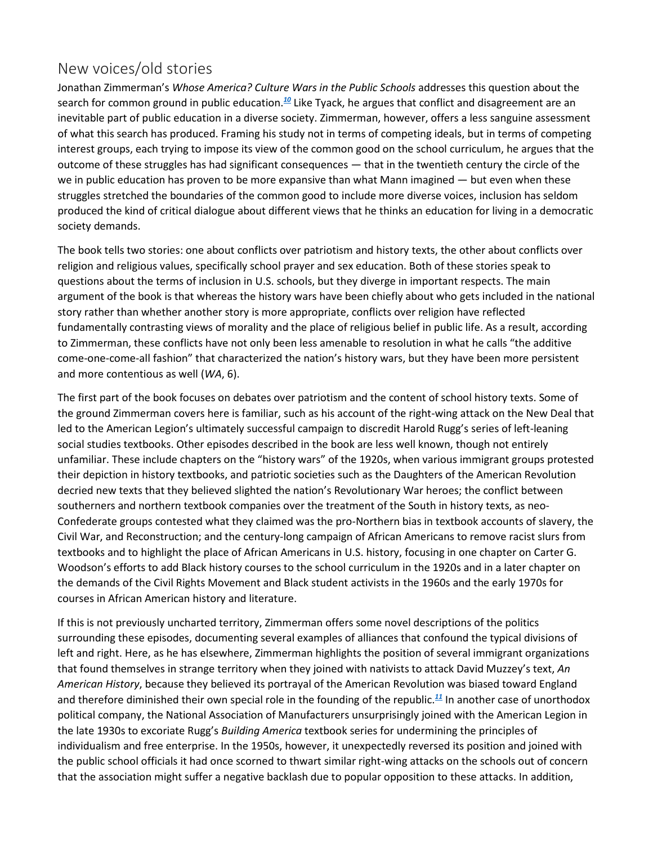### New voices/old stories

Jonathan Zimmerman's *Whose America? Culture Wars in the Public Schools* addresses this question about the search for common ground in public education.*[10](https://onlinelibrary.wiley.com/doi/full/10.1111/j.1741-5446.2007.00263.x#fn10_10)* Like Tyack, he argues that conflict and disagreement are an inevitable part of public education in a diverse society. Zimmerman, however, offers a less sanguine assessment of what this search has produced. Framing his study not in terms of competing ideals, but in terms of competing interest groups, each trying to impose its view of the common good on the school curriculum, he argues that the outcome of these struggles has had significant consequences — that in the twentieth century the circle of the we in public education has proven to be more expansive than what Mann imagined — but even when these struggles stretched the boundaries of the common good to include more diverse voices, inclusion has seldom produced the kind of critical dialogue about different views that he thinks an education for living in a democratic society demands.

The book tells two stories: one about conflicts over patriotism and history texts, the other about conflicts over religion and religious values, specifically school prayer and sex education. Both of these stories speak to questions about the terms of inclusion in U.S. schools, but they diverge in important respects. The main argument of the book is that whereas the history wars have been chiefly about who gets included in the national story rather than whether another story is more appropriate, conflicts over religion have reflected fundamentally contrasting views of morality and the place of religious belief in public life. As a result, according to Zimmerman, these conflicts have not only been less amenable to resolution in what he calls "the additive come-one-come-all fashion" that characterized the nation's history wars, but they have been more persistent and more contentious as well (*WA*, 6).

The first part of the book focuses on debates over patriotism and the content of school history texts. Some of the ground Zimmerman covers here is familiar, such as his account of the right-wing attack on the New Deal that led to the American Legion's ultimately successful campaign to discredit Harold Rugg's series of left-leaning social studies textbooks. Other episodes described in the book are less well known, though not entirely unfamiliar. These include chapters on the "history wars" of the 1920s, when various immigrant groups protested their depiction in history textbooks, and patriotic societies such as the Daughters of the American Revolution decried new texts that they believed slighted the nation's Revolutionary War heroes; the conflict between southerners and northern textbook companies over the treatment of the South in history texts, as neo-Confederate groups contested what they claimed was the pro-Northern bias in textbook accounts of slavery, the Civil War, and Reconstruction; and the century-long campaign of African Americans to remove racist slurs from textbooks and to highlight the place of African Americans in U.S. history, focusing in one chapter on Carter G. Woodson's efforts to add Black history courses to the school curriculum in the 1920s and in a later chapter on the demands of the Civil Rights Movement and Black student activists in the 1960s and the early 1970s for courses in African American history and literature.

If this is not previously uncharted territory, Zimmerman offers some novel descriptions of the politics surrounding these episodes, documenting several examples of alliances that confound the typical divisions of left and right. Here, as he has elsewhere, Zimmerman highlights the position of several immigrant organizations that found themselves in strange territory when they joined with nativists to attack David Muzzey's text, *An American History*, because they believed its portrayal of the American Revolution was biased toward England and therefore diminished their own special role in the founding of the republic.*[11](https://onlinelibrary.wiley.com/doi/full/10.1111/j.1741-5446.2007.00263.x#fn11_11)* In another case of unorthodox political company, the National Association of Manufacturers unsurprisingly joined with the American Legion in the late 1930s to excoriate Rugg's *Building America* textbook series for undermining the principles of individualism and free enterprise. In the 1950s, however, it unexpectedly reversed its position and joined with the public school officials it had once scorned to thwart similar right-wing attacks on the schools out of concern that the association might suffer a negative backlash due to popular opposition to these attacks. In addition,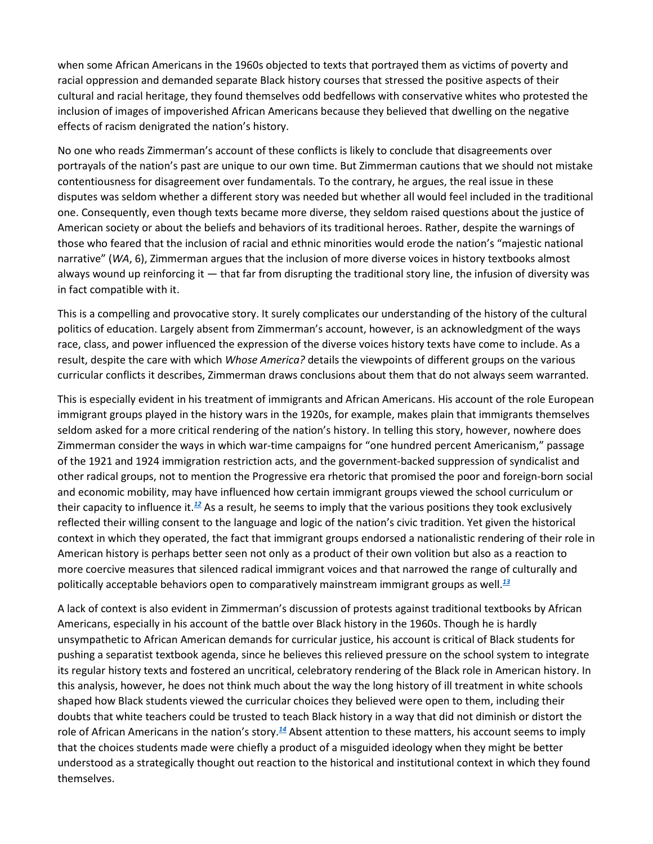when some African Americans in the 1960s objected to texts that portrayed them as victims of poverty and racial oppression and demanded separate Black history courses that stressed the positive aspects of their cultural and racial heritage, they found themselves odd bedfellows with conservative whites who protested the inclusion of images of impoverished African Americans because they believed that dwelling on the negative effects of racism denigrated the nation's history.

No one who reads Zimmerman's account of these conflicts is likely to conclude that disagreements over portrayals of the nation's past are unique to our own time. But Zimmerman cautions that we should not mistake contentiousness for disagreement over fundamentals. To the contrary, he argues, the real issue in these disputes was seldom whether a different story was needed but whether all would feel included in the traditional one. Consequently, even though texts became more diverse, they seldom raised questions about the justice of American society or about the beliefs and behaviors of its traditional heroes. Rather, despite the warnings of those who feared that the inclusion of racial and ethnic minorities would erode the nation's "majestic national narrative" (*WA*, 6), Zimmerman argues that the inclusion of more diverse voices in history textbooks almost always wound up reinforcing it — that far from disrupting the traditional story line, the infusion of diversity was in fact compatible with it.

This is a compelling and provocative story. It surely complicates our understanding of the history of the cultural politics of education. Largely absent from Zimmerman's account, however, is an acknowledgment of the ways race, class, and power influenced the expression of the diverse voices history texts have come to include. As a result, despite the care with which *Whose America?* details the viewpoints of different groups on the various curricular conflicts it describes, Zimmerman draws conclusions about them that do not always seem warranted.

This is especially evident in his treatment of immigrants and African Americans. His account of the role European immigrant groups played in the history wars in the 1920s, for example, makes plain that immigrants themselves seldom asked for a more critical rendering of the nation's history. In telling this story, however, nowhere does Zimmerman consider the ways in which war-time campaigns for "one hundred percent Americanism," passage of the 1921 and 1924 immigration restriction acts, and the government-backed suppression of syndicalist and other radical groups, not to mention the Progressive era rhetoric that promised the poor and foreign-born social and economic mobility, may have influenced how certain immigrant groups viewed the school curriculum or their capacity to influence it.*[12](https://onlinelibrary.wiley.com/doi/full/10.1111/j.1741-5446.2007.00263.x#fn12_12)* As a result, he seems to imply that the various positions they took exclusively reflected their willing consent to the language and logic of the nation's civic tradition. Yet given the historical context in which they operated, the fact that immigrant groups endorsed a nationalistic rendering of their role in American history is perhaps better seen not only as a product of their own volition but also as a reaction to more coercive measures that silenced radical immigrant voices and that narrowed the range of culturally and politically acceptable behaviors open to comparatively mainstream immigrant groups as well.*[13](https://onlinelibrary.wiley.com/doi/full/10.1111/j.1741-5446.2007.00263.x#fn13_13)*

A lack of context is also evident in Zimmerman's discussion of protests against traditional textbooks by African Americans, especially in his account of the battle over Black history in the 1960s. Though he is hardly unsympathetic to African American demands for curricular justice, his account is critical of Black students for pushing a separatist textbook agenda, since he believes this relieved pressure on the school system to integrate its regular history texts and fostered an uncritical, celebratory rendering of the Black role in American history. In this analysis, however, he does not think much about the way the long history of ill treatment in white schools shaped how Black students viewed the curricular choices they believed were open to them, including their doubts that white teachers could be trusted to teach Black history in a way that did not diminish or distort the role of African Americans in the nation's story.*[14](https://onlinelibrary.wiley.com/doi/full/10.1111/j.1741-5446.2007.00263.x#fn14_14)* Absent attention to these matters, his account seems to imply that the choices students made were chiefly a product of a misguided ideology when they might be better understood as a strategically thought out reaction to the historical and institutional context in which they found themselves.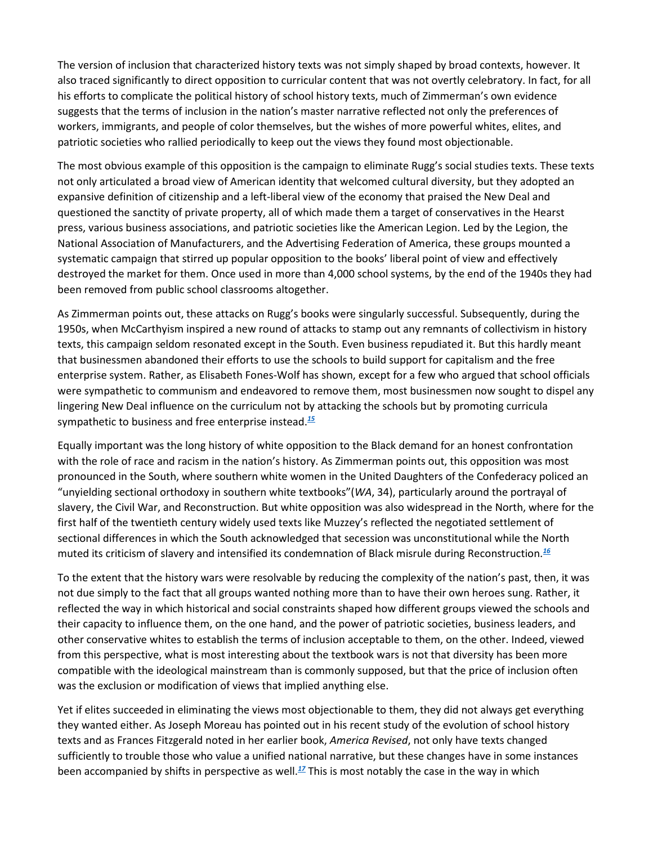The version of inclusion that characterized history texts was not simply shaped by broad contexts, however. It also traced significantly to direct opposition to curricular content that was not overtly celebratory. In fact, for all his efforts to complicate the political history of school history texts, much of Zimmerman's own evidence suggests that the terms of inclusion in the nation's master narrative reflected not only the preferences of workers, immigrants, and people of color themselves, but the wishes of more powerful whites, elites, and patriotic societies who rallied periodically to keep out the views they found most objectionable.

The most obvious example of this opposition is the campaign to eliminate Rugg's social studies texts. These texts not only articulated a broad view of American identity that welcomed cultural diversity, but they adopted an expansive definition of citizenship and a left-liberal view of the economy that praised the New Deal and questioned the sanctity of private property, all of which made them a target of conservatives in the Hearst press, various business associations, and patriotic societies like the American Legion. Led by the Legion, the National Association of Manufacturers, and the Advertising Federation of America, these groups mounted a systematic campaign that stirred up popular opposition to the books' liberal point of view and effectively destroyed the market for them. Once used in more than 4,000 school systems, by the end of the 1940s they had been removed from public school classrooms altogether.

As Zimmerman points out, these attacks on Rugg's books were singularly successful. Subsequently, during the 1950s, when McCarthyism inspired a new round of attacks to stamp out any remnants of collectivism in history texts, this campaign seldom resonated except in the South. Even business repudiated it. But this hardly meant that businessmen abandoned their efforts to use the schools to build support for capitalism and the free enterprise system. Rather, as Elisabeth Fones-Wolf has shown, except for a few who argued that school officials were sympathetic to communism and endeavored to remove them, most businessmen now sought to dispel any lingering New Deal influence on the curriculum not by attacking the schools but by promoting curricula sympathetic to business and free enterprise instead.*[15](https://onlinelibrary.wiley.com/doi/full/10.1111/j.1741-5446.2007.00263.x#fn15_15)*

Equally important was the long history of white opposition to the Black demand for an honest confrontation with the role of race and racism in the nation's history. As Zimmerman points out, this opposition was most pronounced in the South, where southern white women in the United Daughters of the Confederacy policed an "unyielding sectional orthodoxy in southern white textbooks"(*WA*, 34), particularly around the portrayal of slavery, the Civil War, and Reconstruction. But white opposition was also widespread in the North, where for the first half of the twentieth century widely used texts like Muzzey's reflected the negotiated settlement of sectional differences in which the South acknowledged that secession was unconstitutional while the North muted its criticism of slavery and intensified its condemnation of Black misrule during Reconstruction.*[16](https://onlinelibrary.wiley.com/doi/full/10.1111/j.1741-5446.2007.00263.x#fn16_16)*

To the extent that the history wars were resolvable by reducing the complexity of the nation's past, then, it was not due simply to the fact that all groups wanted nothing more than to have their own heroes sung. Rather, it reflected the way in which historical and social constraints shaped how different groups viewed the schools and their capacity to influence them, on the one hand, and the power of patriotic societies, business leaders, and other conservative whites to establish the terms of inclusion acceptable to them, on the other. Indeed, viewed from this perspective, what is most interesting about the textbook wars is not that diversity has been more compatible with the ideological mainstream than is commonly supposed, but that the price of inclusion often was the exclusion or modification of views that implied anything else.

Yet if elites succeeded in eliminating the views most objectionable to them, they did not always get everything they wanted either. As Joseph Moreau has pointed out in his recent study of the evolution of school history texts and as Frances Fitzgerald noted in her earlier book, *America Revised*, not only have texts changed sufficiently to trouble those who value a unified national narrative, but these changes have in some instances been accompanied by shifts in perspective as well.*[17](https://onlinelibrary.wiley.com/doi/full/10.1111/j.1741-5446.2007.00263.x#fn17_17)* This is most notably the case in the way in which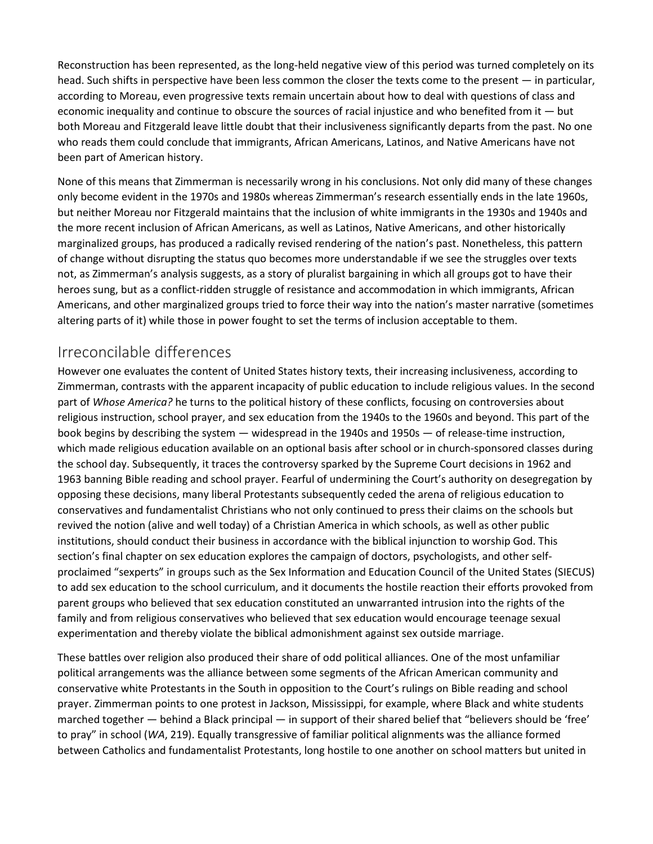Reconstruction has been represented, as the long-held negative view of this period was turned completely on its head. Such shifts in perspective have been less common the closer the texts come to the present — in particular, according to Moreau, even progressive texts remain uncertain about how to deal with questions of class and economic inequality and continue to obscure the sources of racial injustice and who benefited from it — but both Moreau and Fitzgerald leave little doubt that their inclusiveness significantly departs from the past. No one who reads them could conclude that immigrants, African Americans, Latinos, and Native Americans have not been part of American history.

None of this means that Zimmerman is necessarily wrong in his conclusions. Not only did many of these changes only become evident in the 1970s and 1980s whereas Zimmerman's research essentially ends in the late 1960s, but neither Moreau nor Fitzgerald maintains that the inclusion of white immigrants in the 1930s and 1940s and the more recent inclusion of African Americans, as well as Latinos, Native Americans, and other historically marginalized groups, has produced a radically revised rendering of the nation's past. Nonetheless, this pattern of change without disrupting the status quo becomes more understandable if we see the struggles over texts not, as Zimmerman's analysis suggests, as a story of pluralist bargaining in which all groups got to have their heroes sung, but as a conflict-ridden struggle of resistance and accommodation in which immigrants, African Americans, and other marginalized groups tried to force their way into the nation's master narrative (sometimes altering parts of it) while those in power fought to set the terms of inclusion acceptable to them.

### Irreconcilable differences

However one evaluates the content of United States history texts, their increasing inclusiveness, according to Zimmerman, contrasts with the apparent incapacity of public education to include religious values. In the second part of *Whose America?* he turns to the political history of these conflicts, focusing on controversies about religious instruction, school prayer, and sex education from the 1940s to the 1960s and beyond. This part of the book begins by describing the system — widespread in the 1940s and 1950s — of release-time instruction, which made religious education available on an optional basis after school or in church-sponsored classes during the school day. Subsequently, it traces the controversy sparked by the Supreme Court decisions in 1962 and 1963 banning Bible reading and school prayer. Fearful of undermining the Court's authority on desegregation by opposing these decisions, many liberal Protestants subsequently ceded the arena of religious education to conservatives and fundamentalist Christians who not only continued to press their claims on the schools but revived the notion (alive and well today) of a Christian America in which schools, as well as other public institutions, should conduct their business in accordance with the biblical injunction to worship God. This section's final chapter on sex education explores the campaign of doctors, psychologists, and other selfproclaimed "sexperts" in groups such as the Sex Information and Education Council of the United States (SIECUS) to add sex education to the school curriculum, and it documents the hostile reaction their efforts provoked from parent groups who believed that sex education constituted an unwarranted intrusion into the rights of the family and from religious conservatives who believed that sex education would encourage teenage sexual experimentation and thereby violate the biblical admonishment against sex outside marriage.

These battles over religion also produced their share of odd political alliances. One of the most unfamiliar political arrangements was the alliance between some segments of the African American community and conservative white Protestants in the South in opposition to the Court's rulings on Bible reading and school prayer. Zimmerman points to one protest in Jackson, Mississippi, for example, where Black and white students marched together — behind a Black principal — in support of their shared belief that "believers should be 'free' to pray" in school (*WA*, 219). Equally transgressive of familiar political alignments was the alliance formed between Catholics and fundamentalist Protestants, long hostile to one another on school matters but united in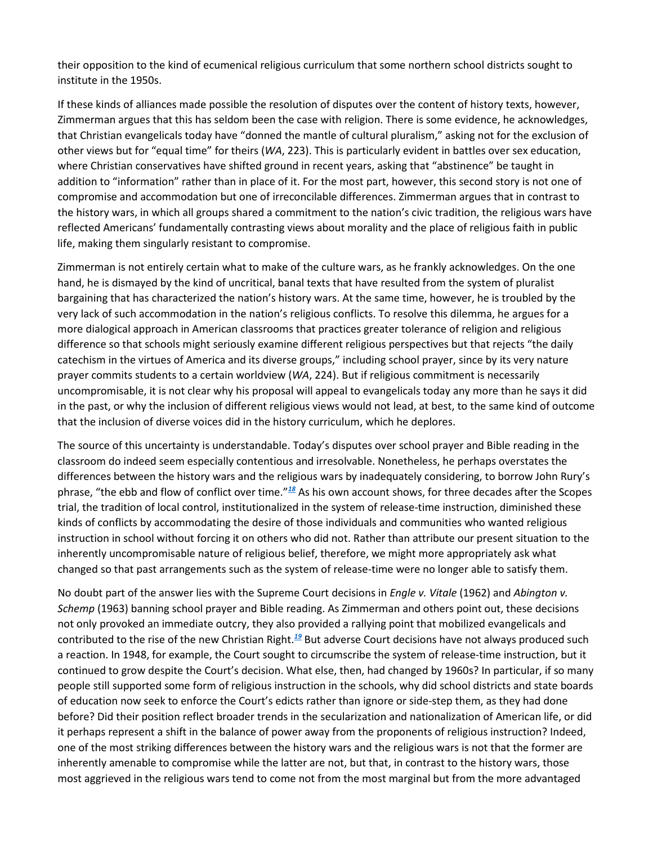their opposition to the kind of ecumenical religious curriculum that some northern school districts sought to institute in the 1950s.

If these kinds of alliances made possible the resolution of disputes over the content of history texts, however, Zimmerman argues that this has seldom been the case with religion. There is some evidence, he acknowledges, that Christian evangelicals today have "donned the mantle of cultural pluralism," asking not for the exclusion of other views but for "equal time" for theirs (*WA*, 223). This is particularly evident in battles over sex education, where Christian conservatives have shifted ground in recent years, asking that "abstinence" be taught in addition to "information" rather than in place of it. For the most part, however, this second story is not one of compromise and accommodation but one of irreconcilable differences. Zimmerman argues that in contrast to the history wars, in which all groups shared a commitment to the nation's civic tradition, the religious wars have reflected Americans' fundamentally contrasting views about morality and the place of religious faith in public life, making them singularly resistant to compromise.

Zimmerman is not entirely certain what to make of the culture wars, as he frankly acknowledges. On the one hand, he is dismayed by the kind of uncritical, banal texts that have resulted from the system of pluralist bargaining that has characterized the nation's history wars. At the same time, however, he is troubled by the very lack of such accommodation in the nation's religious conflicts. To resolve this dilemma, he argues for a more dialogical approach in American classrooms that practices greater tolerance of religion and religious difference so that schools might seriously examine different religious perspectives but that rejects "the daily catechism in the virtues of America and its diverse groups," including school prayer, since by its very nature prayer commits students to a certain worldview (*WA*, 224). But if religious commitment is necessarily uncompromisable, it is not clear why his proposal will appeal to evangelicals today any more than he says it did in the past, or why the inclusion of different religious views would not lead, at best, to the same kind of outcome that the inclusion of diverse voices did in the history curriculum, which he deplores.

The source of this uncertainty is understandable. Today's disputes over school prayer and Bible reading in the classroom do indeed seem especially contentious and irresolvable. Nonetheless, he perhaps overstates the differences between the history wars and the religious wars by inadequately considering, to borrow John Rury's phrase, "the ebb and flow of conflict over time."*[18](https://onlinelibrary.wiley.com/doi/full/10.1111/j.1741-5446.2007.00263.x#fn18_18)* As his own account shows, for three decades after the Scopes trial, the tradition of local control, institutionalized in the system of release-time instruction, diminished these kinds of conflicts by accommodating the desire of those individuals and communities who wanted religious instruction in school without forcing it on others who did not. Rather than attribute our present situation to the inherently uncompromisable nature of religious belief, therefore, we might more appropriately ask what changed so that past arrangements such as the system of release-time were no longer able to satisfy them.

No doubt part of the answer lies with the Supreme Court decisions in *Engle v. Vitale* (1962) and *Abington v. Schemp* (1963) banning school prayer and Bible reading. As Zimmerman and others point out, these decisions not only provoked an immediate outcry, they also provided a rallying point that mobilized evangelicals and contributed to the rise of the new Christian Right.*[19](https://onlinelibrary.wiley.com/doi/full/10.1111/j.1741-5446.2007.00263.x#fn19_19)* But adverse Court decisions have not always produced such a reaction. In 1948, for example, the Court sought to circumscribe the system of release-time instruction, but it continued to grow despite the Court's decision. What else, then, had changed by 1960s? In particular, if so many people still supported some form of religious instruction in the schools, why did school districts and state boards of education now seek to enforce the Court's edicts rather than ignore or side-step them, as they had done before? Did their position reflect broader trends in the secularization and nationalization of American life, or did it perhaps represent a shift in the balance of power away from the proponents of religious instruction? Indeed, one of the most striking differences between the history wars and the religious wars is not that the former are inherently amenable to compromise while the latter are not, but that, in contrast to the history wars, those most aggrieved in the religious wars tend to come not from the most marginal but from the more advantaged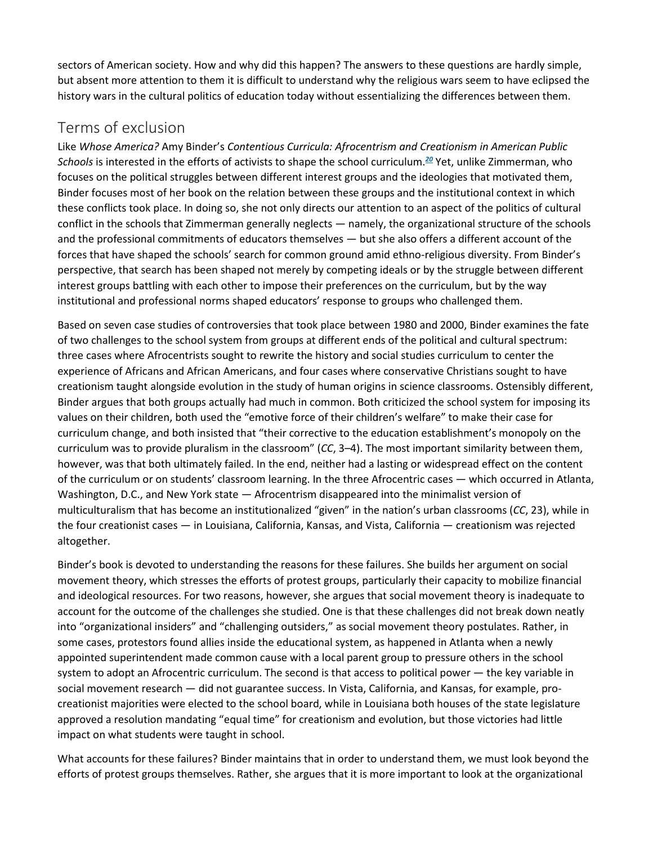sectors of American society. How and why did this happen? The answers to these questions are hardly simple, but absent more attention to them it is difficult to understand why the religious wars seem to have eclipsed the history wars in the cultural politics of education today without essentializing the differences between them.

### Terms of exclusion

Like *Whose America?* Amy Binder's *Contentious Curricula: Afrocentrism and Creationism in American Public Schools* is interested in the efforts of activists to shape the school curriculum.*[20](https://onlinelibrary.wiley.com/doi/full/10.1111/j.1741-5446.2007.00263.x#fn20_20)* Yet, unlike Zimmerman, who focuses on the political struggles between different interest groups and the ideologies that motivated them, Binder focuses most of her book on the relation between these groups and the institutional context in which these conflicts took place. In doing so, she not only directs our attention to an aspect of the politics of cultural conflict in the schools that Zimmerman generally neglects — namely, the organizational structure of the schools and the professional commitments of educators themselves — but she also offers a different account of the forces that have shaped the schools' search for common ground amid ethno-religious diversity. From Binder's perspective, that search has been shaped not merely by competing ideals or by the struggle between different interest groups battling with each other to impose their preferences on the curriculum, but by the way institutional and professional norms shaped educators' response to groups who challenged them.

Based on seven case studies of controversies that took place between 1980 and 2000, Binder examines the fate of two challenges to the school system from groups at different ends of the political and cultural spectrum: three cases where Afrocentrists sought to rewrite the history and social studies curriculum to center the experience of Africans and African Americans, and four cases where conservative Christians sought to have creationism taught alongside evolution in the study of human origins in science classrooms. Ostensibly different, Binder argues that both groups actually had much in common. Both criticized the school system for imposing its values on their children, both used the "emotive force of their children's welfare" to make their case for curriculum change, and both insisted that "their corrective to the education establishment's monopoly on the curriculum was to provide pluralism in the classroom" (*CC*, 3–4). The most important similarity between them, however, was that both ultimately failed. In the end, neither had a lasting or widespread effect on the content of the curriculum or on students' classroom learning. In the three Afrocentric cases — which occurred in Atlanta, Washington, D.C., and New York state — Afrocentrism disappeared into the minimalist version of multiculturalism that has become an institutionalized "given" in the nation's urban classrooms (*CC*, 23), while in the four creationist cases — in Louisiana, California, Kansas, and Vista, California — creationism was rejected altogether.

Binder's book is devoted to understanding the reasons for these failures. She builds her argument on social movement theory, which stresses the efforts of protest groups, particularly their capacity to mobilize financial and ideological resources. For two reasons, however, she argues that social movement theory is inadequate to account for the outcome of the challenges she studied. One is that these challenges did not break down neatly into "organizational insiders" and "challenging outsiders," as social movement theory postulates. Rather, in some cases, protestors found allies inside the educational system, as happened in Atlanta when a newly appointed superintendent made common cause with a local parent group to pressure others in the school system to adopt an Afrocentric curriculum. The second is that access to political power — the key variable in social movement research — did not guarantee success. In Vista, California, and Kansas, for example, procreationist majorities were elected to the school board, while in Louisiana both houses of the state legislature approved a resolution mandating "equal time" for creationism and evolution, but those victories had little impact on what students were taught in school.

What accounts for these failures? Binder maintains that in order to understand them, we must look beyond the efforts of protest groups themselves. Rather, she argues that it is more important to look at the organizational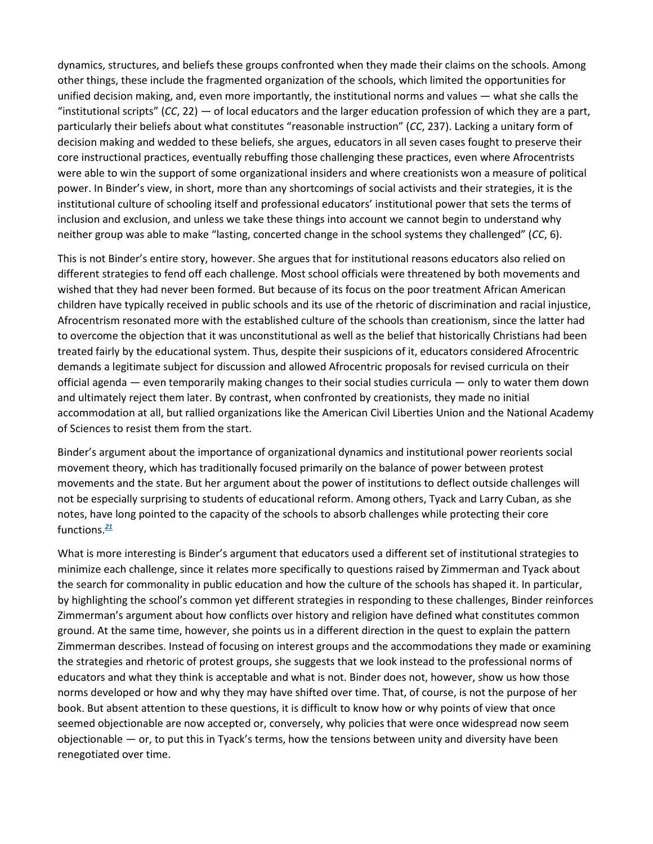dynamics, structures, and beliefs these groups confronted when they made their claims on the schools. Among other things, these include the fragmented organization of the schools, which limited the opportunities for unified decision making, and, even more importantly, the institutional norms and values — what she calls the "institutional scripts" (*CC*, 22) — of local educators and the larger education profession of which they are a part, particularly their beliefs about what constitutes "reasonable instruction" (*CC*, 237). Lacking a unitary form of decision making and wedded to these beliefs, she argues, educators in all seven cases fought to preserve their core instructional practices, eventually rebuffing those challenging these practices, even where Afrocentrists were able to win the support of some organizational insiders and where creationists won a measure of political power. In Binder's view, in short, more than any shortcomings of social activists and their strategies, it is the institutional culture of schooling itself and professional educators' institutional power that sets the terms of inclusion and exclusion, and unless we take these things into account we cannot begin to understand why neither group was able to make "lasting, concerted change in the school systems they challenged" (*CC*, 6).

This is not Binder's entire story, however. She argues that for institutional reasons educators also relied on different strategies to fend off each challenge. Most school officials were threatened by both movements and wished that they had never been formed. But because of its focus on the poor treatment African American children have typically received in public schools and its use of the rhetoric of discrimination and racial injustice, Afrocentrism resonated more with the established culture of the schools than creationism, since the latter had to overcome the objection that it was unconstitutional as well as the belief that historically Christians had been treated fairly by the educational system. Thus, despite their suspicions of it, educators considered Afrocentric demands a legitimate subject for discussion and allowed Afrocentric proposals for revised curricula on their official agenda — even temporarily making changes to their social studies curricula — only to water them down and ultimately reject them later. By contrast, when confronted by creationists, they made no initial accommodation at all, but rallied organizations like the American Civil Liberties Union and the National Academy of Sciences to resist them from the start.

Binder's argument about the importance of organizational dynamics and institutional power reorients social movement theory, which has traditionally focused primarily on the balance of power between protest movements and the state. But her argument about the power of institutions to deflect outside challenges will not be especially surprising to students of educational reform. Among others, Tyack and Larry Cuban, as she notes, have long pointed to the capacity of the schools to absorb challenges while protecting their core functions.*[21](https://onlinelibrary.wiley.com/doi/full/10.1111/j.1741-5446.2007.00263.x#fn21_21)*

What is more interesting is Binder's argument that educators used a different set of institutional strategies to minimize each challenge, since it relates more specifically to questions raised by Zimmerman and Tyack about the search for commonality in public education and how the culture of the schools has shaped it. In particular, by highlighting the school's common yet different strategies in responding to these challenges, Binder reinforces Zimmerman's argument about how conflicts over history and religion have defined what constitutes common ground. At the same time, however, she points us in a different direction in the quest to explain the pattern Zimmerman describes. Instead of focusing on interest groups and the accommodations they made or examining the strategies and rhetoric of protest groups, she suggests that we look instead to the professional norms of educators and what they think is acceptable and what is not. Binder does not, however, show us how those norms developed or how and why they may have shifted over time. That, of course, is not the purpose of her book. But absent attention to these questions, it is difficult to know how or why points of view that once seemed objectionable are now accepted or, conversely, why policies that were once widespread now seem objectionable — or, to put this in Tyack's terms, how the tensions between unity and diversity have been renegotiated over time.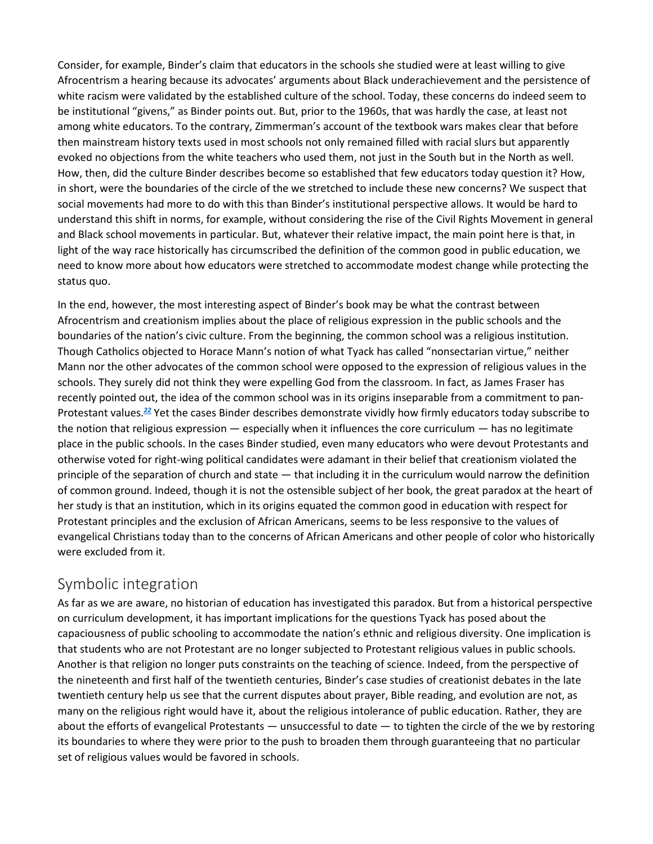Consider, for example, Binder's claim that educators in the schools she studied were at least willing to give Afrocentrism a hearing because its advocates' arguments about Black underachievement and the persistence of white racism were validated by the established culture of the school. Today, these concerns do indeed seem to be institutional "givens," as Binder points out. But, prior to the 1960s, that was hardly the case, at least not among white educators. To the contrary, Zimmerman's account of the textbook wars makes clear that before then mainstream history texts used in most schools not only remained filled with racial slurs but apparently evoked no objections from the white teachers who used them, not just in the South but in the North as well. How, then, did the culture Binder describes become so established that few educators today question it? How, in short, were the boundaries of the circle of the we stretched to include these new concerns? We suspect that social movements had more to do with this than Binder's institutional perspective allows. It would be hard to understand this shift in norms, for example, without considering the rise of the Civil Rights Movement in general and Black school movements in particular. But, whatever their relative impact, the main point here is that, in light of the way race historically has circumscribed the definition of the common good in public education, we need to know more about how educators were stretched to accommodate modest change while protecting the status quo.

In the end, however, the most interesting aspect of Binder's book may be what the contrast between Afrocentrism and creationism implies about the place of religious expression in the public schools and the boundaries of the nation's civic culture. From the beginning, the common school was a religious institution. Though Catholics objected to Horace Mann's notion of what Tyack has called "nonsectarian virtue," neither Mann nor the other advocates of the common school were opposed to the expression of religious values in the schools. They surely did not think they were expelling God from the classroom. In fact, as James Fraser has recently pointed out, the idea of the common school was in its origins inseparable from a commitment to pan-Protestant values.*[22](https://onlinelibrary.wiley.com/doi/full/10.1111/j.1741-5446.2007.00263.x#fn22_22)* Yet the cases Binder describes demonstrate vividly how firmly educators today subscribe to the notion that religious expression — especially when it influences the core curriculum — has no legitimate place in the public schools. In the cases Binder studied, even many educators who were devout Protestants and otherwise voted for right-wing political candidates were adamant in their belief that creationism violated the principle of the separation of church and state — that including it in the curriculum would narrow the definition of common ground. Indeed, though it is not the ostensible subject of her book, the great paradox at the heart of her study is that an institution, which in its origins equated the common good in education with respect for Protestant principles and the exclusion of African Americans, seems to be less responsive to the values of evangelical Christians today than to the concerns of African Americans and other people of color who historically were excluded from it.

### Symbolic integration

As far as we are aware, no historian of education has investigated this paradox. But from a historical perspective on curriculum development, it has important implications for the questions Tyack has posed about the capaciousness of public schooling to accommodate the nation's ethnic and religious diversity. One implication is that students who are not Protestant are no longer subjected to Protestant religious values in public schools. Another is that religion no longer puts constraints on the teaching of science. Indeed, from the perspective of the nineteenth and first half of the twentieth centuries, Binder's case studies of creationist debates in the late twentieth century help us see that the current disputes about prayer, Bible reading, and evolution are not, as many on the religious right would have it, about the religious intolerance of public education. Rather, they are about the efforts of evangelical Protestants — unsuccessful to date — to tighten the circle of the we by restoring its boundaries to where they were prior to the push to broaden them through guaranteeing that no particular set of religious values would be favored in schools.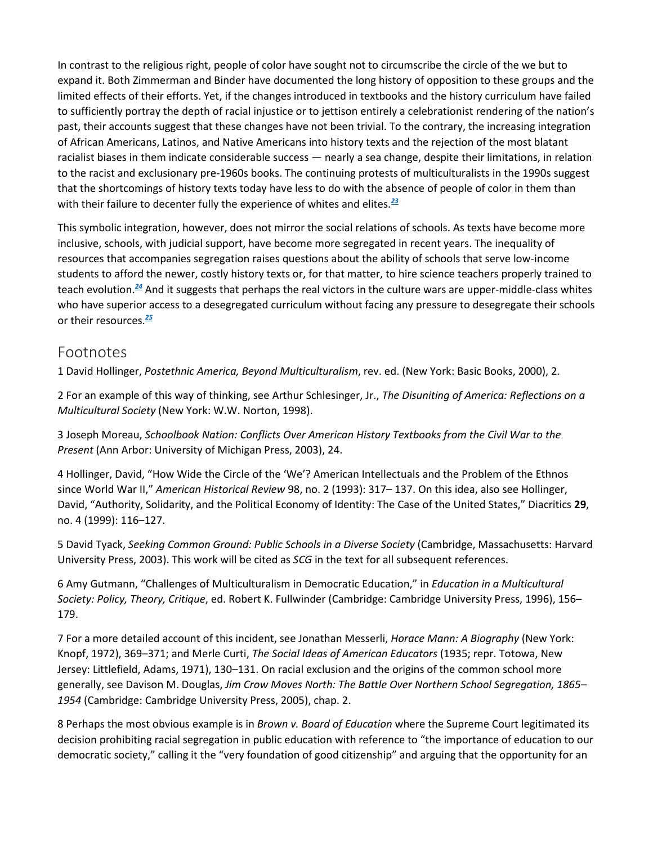In contrast to the religious right, people of color have sought not to circumscribe the circle of the we but to expand it. Both Zimmerman and Binder have documented the long history of opposition to these groups and the limited effects of their efforts. Yet, if the changes introduced in textbooks and the history curriculum have failed to sufficiently portray the depth of racial injustice or to jettison entirely a celebrationist rendering of the nation's past, their accounts suggest that these changes have not been trivial. To the contrary, the increasing integration of African Americans, Latinos, and Native Americans into history texts and the rejection of the most blatant racialist biases in them indicate considerable success — nearly a sea change, despite their limitations, in relation to the racist and exclusionary pre-1960s books. The continuing protests of multiculturalists in the 1990s suggest that the shortcomings of history texts today have less to do with the absence of people of color in them than with their failure to decenter fully the experience of whites and elites.*[23](https://onlinelibrary.wiley.com/doi/full/10.1111/j.1741-5446.2007.00263.x#fn23_23)*

This symbolic integration, however, does not mirror the social relations of schools. As texts have become more inclusive, schools, with judicial support, have become more segregated in recent years. The inequality of resources that accompanies segregation raises questions about the ability of schools that serve low-income students to afford the newer, costly history texts or, for that matter, to hire science teachers properly trained to teach evolution.*[24](https://onlinelibrary.wiley.com/doi/full/10.1111/j.1741-5446.2007.00263.x#fn24_24)* And it suggests that perhaps the real victors in the culture wars are upper-middle-class whites who have superior access to a desegregated curriculum without facing any pressure to desegregate their schools or their resources.*[25](https://onlinelibrary.wiley.com/doi/full/10.1111/j.1741-5446.2007.00263.x#fn25_25)*

### Footnotes

1 David Hollinger, *Postethnic America, Beyond Multiculturalism*, rev. ed. (New York: Basic Books, 2000), 2.

2 For an example of this way of thinking, see Arthur Schlesinger, Jr., *The Disuniting of America: Reflections on a Multicultural Society* (New York: W.W. Norton, 1998).

3 Joseph Moreau, *Schoolbook Nation: Conflicts Over American History Textbooks from the Civil War to the Present* (Ann Arbor: University of Michigan Press, 2003), 24.

4 Hollinger, David, "How Wide the Circle of the 'We'? American Intellectuals and the Problem of the Ethnos since World War II," *American Historical Review* 98, no. 2 (1993): 317– 137. On this idea, also see Hollinger, David, "Authority, Solidarity, and the Political Economy of Identity: The Case of the United States," Diacritics **29**, no. 4 (1999): 116–127.

5 David Tyack, *Seeking Common Ground: Public Schools in a Diverse Society* (Cambridge, Massachusetts: Harvard University Press, 2003). This work will be cited as *SCG* in the text for all subsequent references.

6 Amy Gutmann, "Challenges of Multiculturalism in Democratic Education," in *Education in a Multicultural Society: Policy, Theory, Critique*, ed. Robert K. Fullwinder (Cambridge: Cambridge University Press, 1996), 156– 179.

7 For a more detailed account of this incident, see Jonathan Messerli, *Horace Mann: A Biography* (New York: Knopf, 1972), 369–371; and Merle Curti, *The Social Ideas of American Educators* (1935; repr. Totowa, New Jersey: Littlefield, Adams, 1971), 130–131. On racial exclusion and the origins of the common school more generally, see Davison M. Douglas, *Jim Crow Moves North: The Battle Over Northern School Segregation, 1865– 1954* (Cambridge: Cambridge University Press, 2005), chap. 2.

8 Perhaps the most obvious example is in *Brown v. Board of Education* where the Supreme Court legitimated its decision prohibiting racial segregation in public education with reference to "the importance of education to our democratic society," calling it the "very foundation of good citizenship" and arguing that the opportunity for an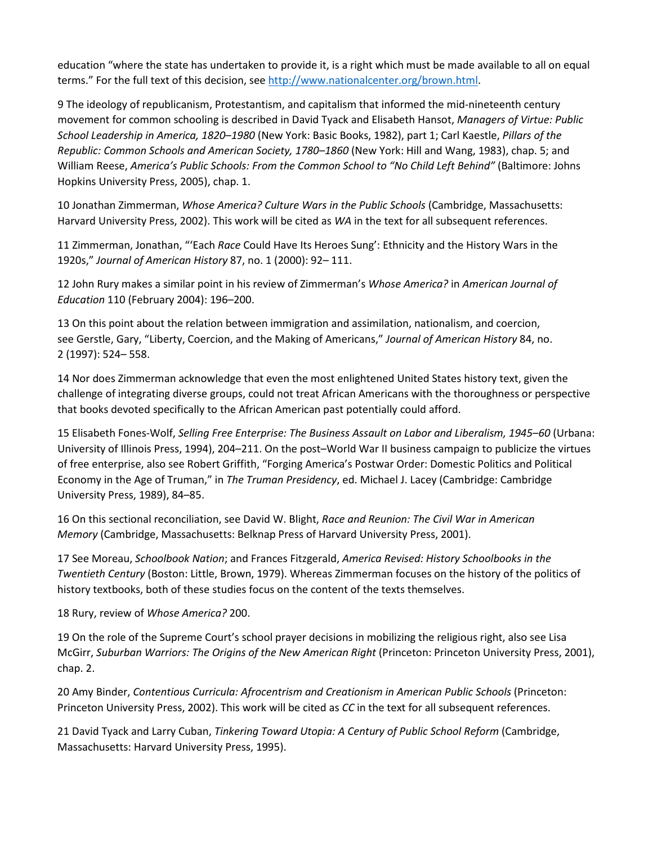education "where the state has undertaken to provide it, is a right which must be made available to all on equal terms." For the full text of this decision, see [http://www.nationalcenter.org/brown.html.](http://www.nationalcenter.org/brown.html)

9 The ideology of republicanism, Protestantism, and capitalism that informed the mid-nineteenth century movement for common schooling is described in David Tyack and Elisabeth Hansot, *Managers of Virtue: Public School Leadership in America, 1820–1980* (New York: Basic Books, 1982), part 1; Carl Kaestle, *Pillars of the Republic: Common Schools and American Society, 1780–1860* (New York: Hill and Wang, 1983), chap. 5; and William Reese, *America's Public Schools: From the Common School to "No Child Left Behind"* (Baltimore: Johns Hopkins University Press, 2005), chap. 1.

10 Jonathan Zimmerman, *Whose America? Culture Wars in the Public Schools* (Cambridge, Massachusetts: Harvard University Press, 2002). This work will be cited as *WA* in the text for all subsequent references.

11 Zimmerman, Jonathan, "'Each *Race* Could Have Its Heroes Sung': Ethnicity and the History Wars in the 1920s," *Journal of American History* 87, no. 1 (2000): 92– 111.

12 John Rury makes a similar point in his review of Zimmerman's *Whose America?* in *American Journal of Education* 110 (February 2004): 196–200.

13 On this point about the relation between immigration and assimilation, nationalism, and coercion, see Gerstle, Gary, "Liberty, Coercion, and the Making of Americans," *Journal of American History* 84, no. 2 (1997): 524– 558.

14 Nor does Zimmerman acknowledge that even the most enlightened United States history text, given the challenge of integrating diverse groups, could not treat African Americans with the thoroughness or perspective that books devoted specifically to the African American past potentially could afford.

15 Elisabeth Fones-Wolf, *Selling Free Enterprise: The Business Assault on Labor and Liberalism, 1945–60* (Urbana: University of Illinois Press, 1994), 204–211. On the post–World War II business campaign to publicize the virtues of free enterprise, also see Robert Griffith, "Forging America's Postwar Order: Domestic Politics and Political Economy in the Age of Truman," in *The Truman Presidency*, ed. Michael J. Lacey (Cambridge: Cambridge University Press, 1989), 84–85.

16 On this sectional reconciliation, see David W. Blight, *Race and Reunion: The Civil War in American Memory* (Cambridge, Massachusetts: Belknap Press of Harvard University Press, 2001).

17 See Moreau, *Schoolbook Nation*; and Frances Fitzgerald, *America Revised: History Schoolbooks in the Twentieth Century* (Boston: Little, Brown, 1979). Whereas Zimmerman focuses on the history of the politics of history textbooks, both of these studies focus on the content of the texts themselves.

18 Rury, review of *Whose America?* 200.

19 On the role of the Supreme Court's school prayer decisions in mobilizing the religious right, also see Lisa McGirr, *Suburban Warriors: The Origins of the New American Right* (Princeton: Princeton University Press, 2001), chap. 2.

20 Amy Binder, *Contentious Curricula: Afrocentrism and Creationism in American Public Schools* (Princeton: Princeton University Press, 2002). This work will be cited as *CC* in the text for all subsequent references.

21 David Tyack and Larry Cuban, *Tinkering Toward Utopia: A Century of Public School Reform* (Cambridge, Massachusetts: Harvard University Press, 1995).